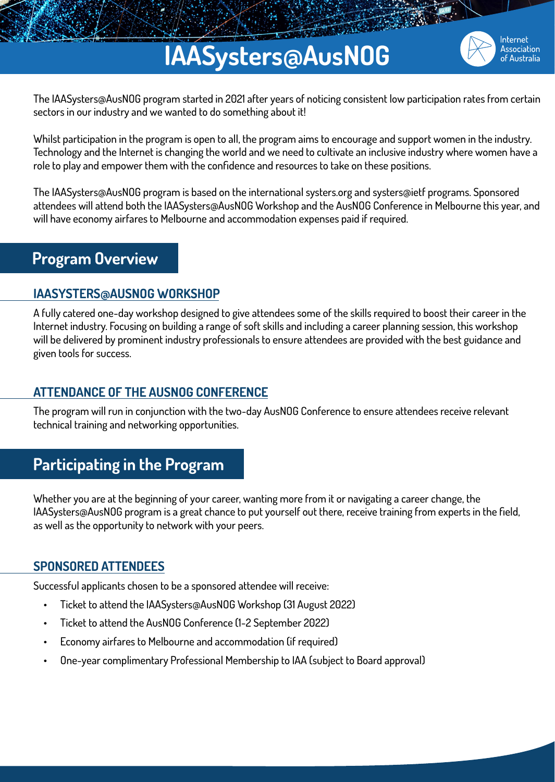## **IAASysters@AusNOG**



The IAASysters@AusNOG program started in 2021 after years of noticing consistent low participation rates from certain sectors in our industry and we wanted to do something about it!

Whilst participation in the program is open to all, the program aims to encourage and support women in the industry. Technology and the Internet is changing the world and we need to cultivate an inclusive industry where women have a role to play and empower them with the confidence and resources to take on these positions.

The IAASysters@AusNOG program is based on the international systers.org and systers@ietf programs. Sponsored attendees will attend both the IAASysters@AusNOG Workshop and the AusNOG Conference in Melbourne this year, and will have economy airfares to Melbourne and accommodation expenses paid if required.

## **Program Overview**

### **IAASYSTERS@AUSNOG WORKSHOP**

A fully catered one-day workshop designed to give attendees some of the skills required to boost their career in the Internet industry. Focusing on building a range of soft skills and including a career planning session, this workshop will be delivered by prominent industry professionals to ensure attendees are provided with the best guidance and given tools for success.

#### **ATTENDANCE OF THE AUSNOG CONFERENCE**

The program will run in conjunction with the two-day AusNOG Conference to ensure attendees receive relevant technical training and networking opportunities.

## **Participating in the Program**

Whether you are at the beginning of your career, wanting more from it or navigating a career change, the IAASysters@AusNOG program is a great chance to put yourself out there, receive training from experts in the field, as well as the opportunity to network with your peers.

## **SPONSORED ATTENDEES**

Successful applicants chosen to be a sponsored attendee will receive:

- Ticket to attend the IAASysters@AusNOG Workshop (31 August 2022)
- Ticket to attend the AusNOG Conference (1-2 September 2022)
- Economy airfares to Melbourne and accommodation (if required)
- One-year complimentary Professional Membership to IAA (subject to Board approval)